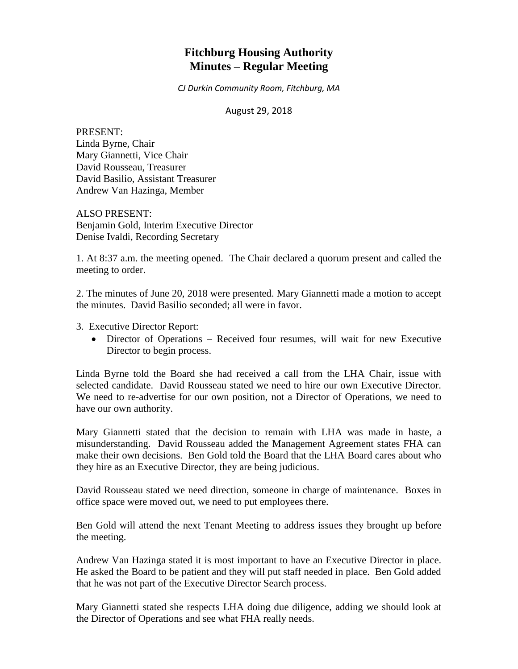# **Fitchburg Housing Authority Minutes – Regular Meeting**

*CJ Durkin Community Room, Fitchburg, MA*

#### August 29, 2018

PRESENT: Linda Byrne, Chair Mary Giannetti, Vice Chair David Rousseau, Treasurer David Basilio, Assistant Treasurer Andrew Van Hazinga, Member

ALSO PRESENT: Benjamin Gold, Interim Executive Director Denise Ivaldi, Recording Secretary

1. At 8:37 a.m. the meeting opened. The Chair declared a quorum present and called the meeting to order.

2. The minutes of June 20, 2018 were presented. Mary Giannetti made a motion to accept the minutes. David Basilio seconded; all were in favor.

3. Executive Director Report:

 Director of Operations – Received four resumes, will wait for new Executive Director to begin process.

Linda Byrne told the Board she had received a call from the LHA Chair, issue with selected candidate. David Rousseau stated we need to hire our own Executive Director. We need to re-advertise for our own position, not a Director of Operations, we need to have our own authority.

Mary Giannetti stated that the decision to remain with LHA was made in haste, a misunderstanding. David Rousseau added the Management Agreement states FHA can make their own decisions. Ben Gold told the Board that the LHA Board cares about who they hire as an Executive Director, they are being judicious.

David Rousseau stated we need direction, someone in charge of maintenance. Boxes in office space were moved out, we need to put employees there.

Ben Gold will attend the next Tenant Meeting to address issues they brought up before the meeting.

Andrew Van Hazinga stated it is most important to have an Executive Director in place. He asked the Board to be patient and they will put staff needed in place. Ben Gold added that he was not part of the Executive Director Search process.

Mary Giannetti stated she respects LHA doing due diligence, adding we should look at the Director of Operations and see what FHA really needs.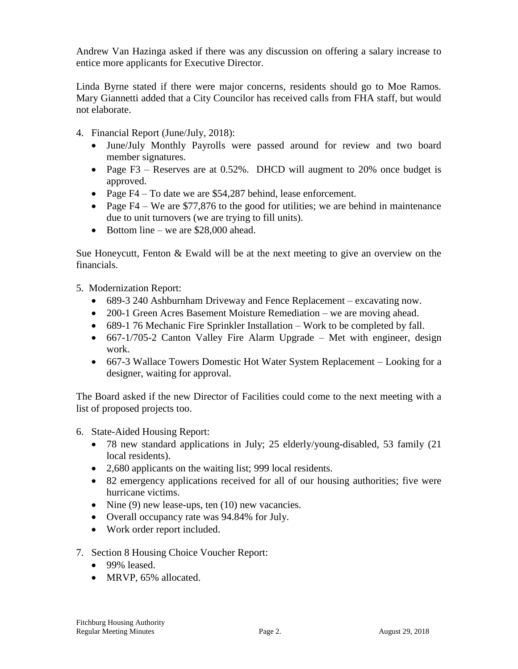Andrew Van Hazinga asked if there was any discussion on offering a salary increase to entice more applicants for Executive Director.

Linda Byrne stated if there were major concerns, residents should go to Moe Ramos. Mary Giannetti added that a City Councilor has received calls from FHA staff, but would not elaborate.

- 4. Financial Report (June/July, 2018):
	- June/July Monthly Payrolls were passed around for review and two board member signatures.
	- Page F3 Reserves are at 0.52%. DHCD will augment to 20% once budget is approved.
	- Page  $F4 To$  date we are \$54,287 behind, lease enforcement.
	- Page  $F4 We$  are \$77,876 to the good for utilities; we are behind in maintenance due to unit turnovers (we are trying to fill units).
	- $\bullet$  Bottom line we are \$28,000 ahead.

Sue Honeycutt, Fenton & Ewald will be at the next meeting to give an overview on the financials.

5. Modernization Report:

- 689-3 240 Ashburnham Driveway and Fence Replacement excavating now.
- 200-1 Green Acres Basement Moisture Remediation we are moving ahead.
- 689-1 76 Mechanic Fire Sprinkler Installation Work to be completed by fall.
- 667-1/705-2 Canton Valley Fire Alarm Upgrade Met with engineer, design work.
- 667-3 Wallace Towers Domestic Hot Water System Replacement Looking for a designer, waiting for approval.

The Board asked if the new Director of Facilities could come to the next meeting with a list of proposed projects too.

- 6. State-Aided Housing Report:
	- 78 new standard applications in July; 25 elderly/young-disabled, 53 family (21 local residents).
	- 2,680 applicants on the waiting list; 999 local residents.
	- 82 emergency applications received for all of our housing authorities; five were hurricane victims.
	- Nine  $(9)$  new lease-ups, ten  $(10)$  new vacancies.
	- Overall occupancy rate was 94.84% for July.
	- Work order report included.
- 7. Section 8 Housing Choice Voucher Report:
	- 99% leased.
	- MRVP, 65% allocated.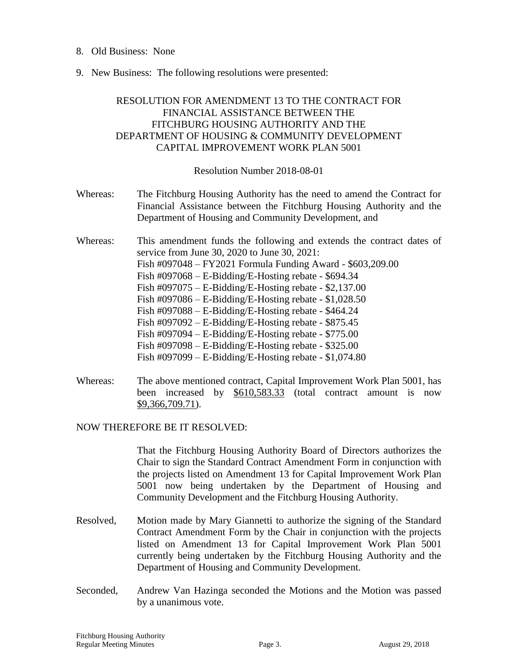- 8. Old Business: None
- 9. New Business: The following resolutions were presented:

# RESOLUTION FOR AMENDMENT 13 TO THE CONTRACT FOR FINANCIAL ASSISTANCE BETWEEN THE FITCHBURG HOUSING AUTHORITY AND THE DEPARTMENT OF HOUSING & COMMUNITY DEVELOPMENT CAPITAL IMPROVEMENT WORK PLAN 5001

Resolution Number 2018-08-01

- Whereas: The Fitchburg Housing Authority has the need to amend the Contract for Financial Assistance between the Fitchburg Housing Authority and the Department of Housing and Community Development, and
- Whereas: This amendment funds the following and extends the contract dates of service from June 30, 2020 to June 30, 2021: Fish #097048 – FY2021 Formula Funding Award - \$603,209.00 Fish #097068 – E-Bidding/E-Hosting rebate - \$694.34 Fish #097075 – E-Bidding/E-Hosting rebate - \$2,137.00 Fish #097086 – E-Bidding/E-Hosting rebate - \$1,028.50 Fish #097088 – E-Bidding/E-Hosting rebate - \$464.24 Fish  $\text{\#097092} - \text{E-Bidding/E-Hosting rebate} - \$875.45$ Fish #097094 – E-Bidding/E-Hosting rebate - \$775.00 Fish #097098 – E-Bidding/E-Hosting rebate - \$325.00 Fish #097099 – E-Bidding/E-Hosting rebate - \$1,074.80
- Whereas: The above mentioned contract, Capital Improvement Work Plan 5001, has been increased by \$610,583.33 (total contract amount is now \$9,366,709.71).

# NOW THEREFORE BE IT RESOLVED:

That the Fitchburg Housing Authority Board of Directors authorizes the Chair to sign the Standard Contract Amendment Form in conjunction with the projects listed on Amendment 13 for Capital Improvement Work Plan 5001 now being undertaken by the Department of Housing and Community Development and the Fitchburg Housing Authority.

- Resolved, Motion made by Mary Giannetti to authorize the signing of the Standard Contract Amendment Form by the Chair in conjunction with the projects listed on Amendment 13 for Capital Improvement Work Plan 5001 currently being undertaken by the Fitchburg Housing Authority and the Department of Housing and Community Development.
- Seconded, Andrew Van Hazinga seconded the Motions and the Motion was passed by a unanimous vote.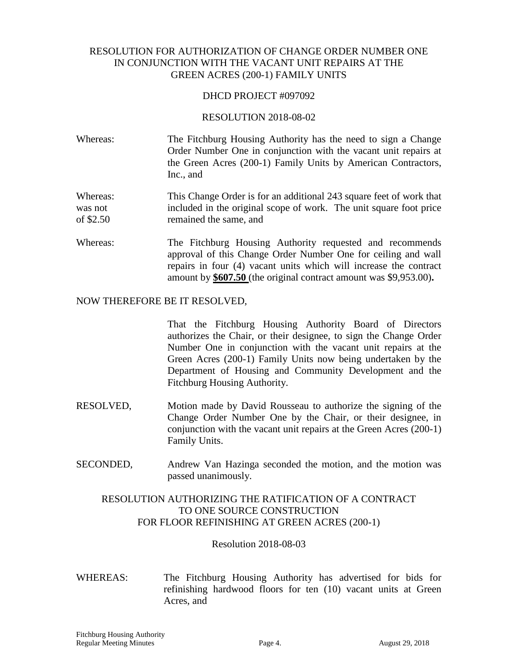# RESOLUTION FOR AUTHORIZATION OF CHANGE ORDER NUMBER ONE IN CONJUNCTION WITH THE VACANT UNIT REPAIRS AT THE GREEN ACRES (200-1) FAMILY UNITS

#### DHCD PROJECT #097092

#### RESOLUTION 2018-08-02

Whereas: The Fitchburg Housing Authority has the need to sign a Change Order Number One in conjunction with the vacant unit repairs at the Green Acres (200-1) Family Units by American Contractors, Inc., and

Whereas: This Change Order is for an additional 243 square feet of work that was not included in the original scope of work. The unit square foot price of \$2.50 remained the same, and

Whereas: The Fitchburg Housing Authority requested and recommends approval of this Change Order Number One for ceiling and wall repairs in four (4) vacant units which will increase the contract amount by **\$607.50** (the original contract amount was \$9,953.00)**.**

#### NOW THEREFORE BE IT RESOLVED,

That the Fitchburg Housing Authority Board of Directors authorizes the Chair, or their designee, to sign the Change Order Number One in conjunction with the vacant unit repairs at the Green Acres (200-1) Family Units now being undertaken by the Department of Housing and Community Development and the Fitchburg Housing Authority.

- RESOLVED, Motion made by David Rousseau to authorize the signing of the Change Order Number One by the Chair, or their designee, in conjunction with the vacant unit repairs at the Green Acres (200-1) Family Units.
- SECONDED, Andrew Van Hazinga seconded the motion, and the motion was passed unanimously.

# RESOLUTION AUTHORIZING THE RATIFICATION OF A CONTRACT TO ONE SOURCE CONSTRUCTION FOR FLOOR REFINISHING AT GREEN ACRES (200-1)

Resolution 2018-08-03

WHEREAS: The Fitchburg Housing Authority has advertised for bids for refinishing hardwood floors for ten (10) vacant units at Green Acres, and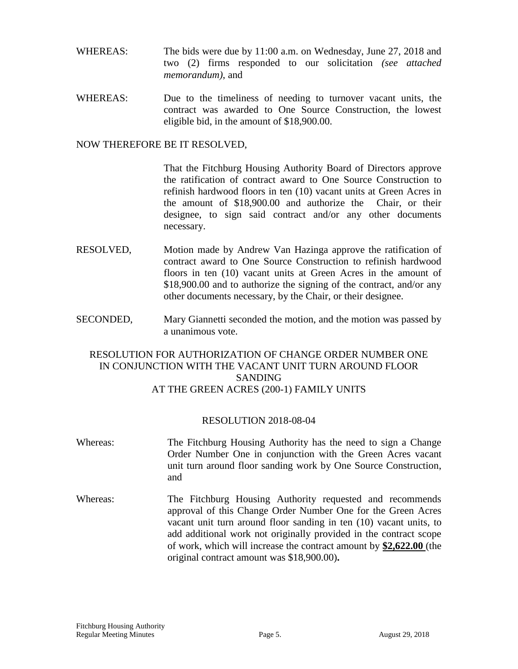- WHEREAS: The bids were due by 11:00 a.m. on Wednesday, June 27, 2018 and two (2) firms responded to our solicitation *(see attached memorandum)*, and
- WHEREAS: Due to the timeliness of needing to turnover vacant units, the contract was awarded to One Source Construction, the lowest eligible bid, in the amount of \$18,900.00.

That the Fitchburg Housing Authority Board of Directors approve the ratification of contract award to One Source Construction to refinish hardwood floors in ten (10) vacant units at Green Acres in the amount of \$18,900.00 and authorize the Chair, or their designee, to sign said contract and/or any other documents necessary.

- RESOLVED, Motion made by Andrew Van Hazinga approve the ratification of contract award to One Source Construction to refinish hardwood floors in ten (10) vacant units at Green Acres in the amount of \$18,900.00 and to authorize the signing of the contract, and/or any other documents necessary, by the Chair, or their designee.
- SECONDED, Mary Giannetti seconded the motion, and the motion was passed by a unanimous vote.

# RESOLUTION FOR AUTHORIZATION OF CHANGE ORDER NUMBER ONE IN CONJUNCTION WITH THE VACANT UNIT TURN AROUND FLOOR SANDING AT THE GREEN ACRES (200-1) FAMILY UNITS

### RESOLUTION 2018-08-04

- Whereas: The Fitchburg Housing Authority has the need to sign a Change Order Number One in conjunction with the Green Acres vacant unit turn around floor sanding work by One Source Construction, and Whereas: The Fitchburg Housing Authority requested and recommends approval of this Change Order Number One for the Green Acres
	- vacant unit turn around floor sanding in ten (10) vacant units, to add additional work not originally provided in the contract scope of work, which will increase the contract amount by **\$2,622.00** (the original contract amount was \$18,900.00)**.**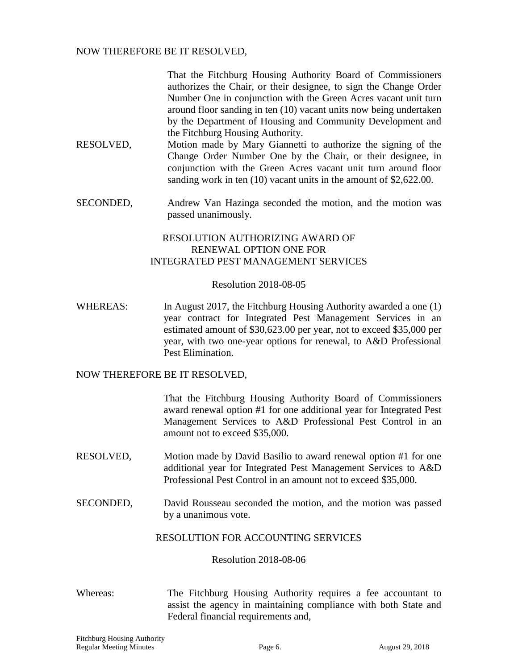That the Fitchburg Housing Authority Board of Commissioners authorizes the Chair, or their designee, to sign the Change Order Number One in conjunction with the Green Acres vacant unit turn around floor sanding in ten (10) vacant units now being undertaken by the Department of Housing and Community Development and the Fitchburg Housing Authority.

- RESOLVED, Motion made by Mary Giannetti to authorize the signing of the Change Order Number One by the Chair, or their designee, in conjunction with the Green Acres vacant unit turn around floor sanding work in ten (10) vacant units in the amount of \$2,622.00.
- SECONDED, Andrew Van Hazinga seconded the motion, and the motion was passed unanimously.

# RESOLUTION AUTHORIZING AWARD OF RENEWAL OPTION ONE FOR INTEGRATED PEST MANAGEMENT SERVICES

#### Resolution 2018-08-05

WHEREAS: In August 2017, the Fitchburg Housing Authority awarded a one (1) year contract for Integrated Pest Management Services in an estimated amount of \$30,623.00 per year, not to exceed \$35,000 per year, with two one-year options for renewal, to A&D Professional Pest Elimination.

#### NOW THEREFORE BE IT RESOLVED,

That the Fitchburg Housing Authority Board of Commissioners award renewal option #1 for one additional year for Integrated Pest Management Services to A&D Professional Pest Control in an amount not to exceed \$35,000.

- RESOLVED, Motion made by David Basilio to award renewal option #1 for one additional year for Integrated Pest Management Services to A&D Professional Pest Control in an amount not to exceed \$35,000.
- SECONDED, David Rousseau seconded the motion, and the motion was passed by a unanimous vote.

### RESOLUTION FOR ACCOUNTING SERVICES

#### Resolution 2018-08-06

Whereas: The Fitchburg Housing Authority requires a fee accountant to assist the agency in maintaining compliance with both State and Federal financial requirements and,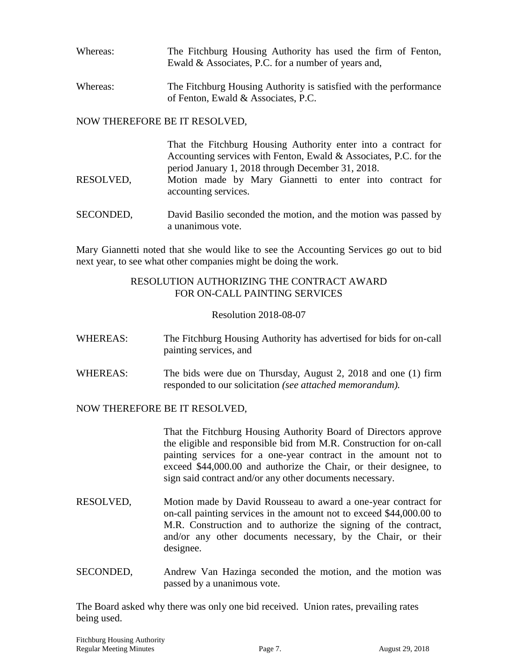| Whereas: | The Fitchburg Housing Authority has used the firm of Fenton, |
|----------|--------------------------------------------------------------|
|          | Ewald & Associates, P.C. for a number of years and,          |

Whereas: The Fitchburg Housing Authority is satisfied with the performance of Fenton, Ewald & Associates, P.C.

# NOW THEREFORE BE IT RESOLVED,

| RESOLVED, | That the Fitchburg Housing Authority enter into a contract for<br>Accounting services with Fenton, Ewald & Associates, P.C. for the<br>period January 1, 2018 through December 31, 2018.<br>Motion made by Mary Giannetti to enter into contract for<br>accounting services. |
|-----------|------------------------------------------------------------------------------------------------------------------------------------------------------------------------------------------------------------------------------------------------------------------------------|
| SECONDED, | David Basilio seconded the motion, and the motion was passed by<br>a unanimous vote.                                                                                                                                                                                         |

Mary Giannetti noted that she would like to see the Accounting Services go out to bid next year, to see what other companies might be doing the work.

### RESOLUTION AUTHORIZING THE CONTRACT AWARD FOR ON-CALL PAINTING SERVICES

### Resolution 2018-08-07

- WHEREAS: The Fitchburg Housing Authority has advertised for bids for on-call painting services, and
- WHEREAS: The bids were due on Thursday, August 2, 2018 and one (1) firm responded to our solicitation *(see attached memorandum).*

### NOW THEREFORE BE IT RESOLVED,

That the Fitchburg Housing Authority Board of Directors approve the eligible and responsible bid from M.R. Construction for on-call painting services for a one-year contract in the amount not to exceed \$44,000.00 and authorize the Chair, or their designee, to sign said contract and/or any other documents necessary.

- RESOLVED, Motion made by David Rousseau to award a one-year contract for on-call painting services in the amount not to exceed \$44,000.00 to M.R. Construction and to authorize the signing of the contract, and/or any other documents necessary, by the Chair, or their designee.
- SECONDED, Andrew Van Hazinga seconded the motion, and the motion was passed by a unanimous vote.

The Board asked why there was only one bid received. Union rates, prevailing rates being used.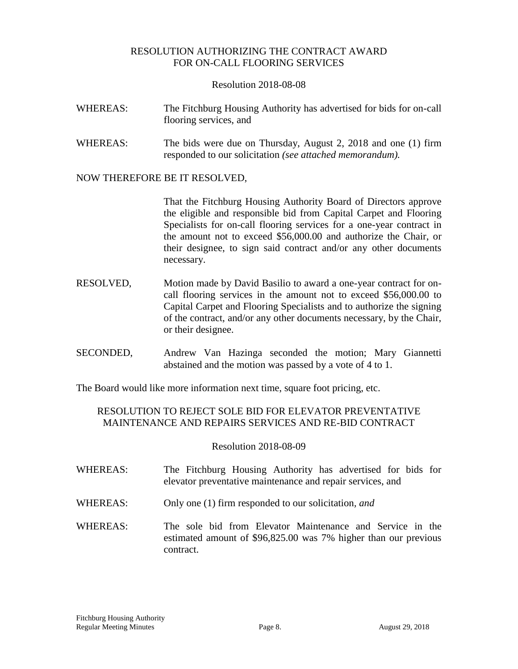# RESOLUTION AUTHORIZING THE CONTRACT AWARD FOR ON-CALL FLOORING SERVICES

#### Resolution 2018-08-08

- WHEREAS: The Fitchburg Housing Authority has advertised for bids for on-call flooring services, and
- WHEREAS: The bids were due on Thursday, August 2, 2018 and one (1) firm responded to our solicitation *(see attached memorandum).*

### NOW THEREFORE BE IT RESOLVED,

That the Fitchburg Housing Authority Board of Directors approve the eligible and responsible bid from Capital Carpet and Flooring Specialists for on-call flooring services for a one-year contract in the amount not to exceed \$56,000.00 and authorize the Chair, or their designee, to sign said contract and/or any other documents necessary.

- RESOLVED, Motion made by David Basilio to award a one-year contract for oncall flooring services in the amount not to exceed \$56,000.00 to Capital Carpet and Flooring Specialists and to authorize the signing of the contract, and/or any other documents necessary, by the Chair, or their designee.
- SECONDED, Andrew Van Hazinga seconded the motion; Mary Giannetti abstained and the motion was passed by a vote of 4 to 1.

The Board would like more information next time, square foot pricing, etc.

# RESOLUTION TO REJECT SOLE BID FOR ELEVATOR PREVENTATIVE MAINTENANCE AND REPAIRS SERVICES AND RE-BID CONTRACT

### Resolution 2018-08-09

- WHEREAS: The Fitchburg Housing Authority has advertised for bids for elevator preventative maintenance and repair services, and
- WHEREAS: Only one (1) firm responded to our solicitation*, and*
- WHEREAS: The sole bid from Elevator Maintenance and Service in the estimated amount of \$96,825.00 was 7% higher than our previous contract.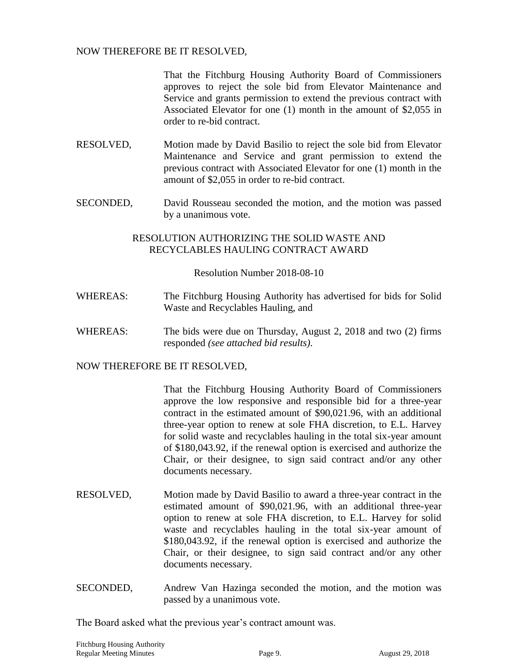That the Fitchburg Housing Authority Board of Commissioners approves to reject the sole bid from Elevator Maintenance and Service and grants permission to extend the previous contract with Associated Elevator for one (1) month in the amount of \$2,055 in order to re-bid contract.

- RESOLVED, Motion made by David Basilio to reject the sole bid from Elevator Maintenance and Service and grant permission to extend the previous contract with Associated Elevator for one (1) month in the amount of \$2,055 in order to re-bid contract.
- SECONDED, David Rousseau seconded the motion, and the motion was passed by a unanimous vote.

### RESOLUTION AUTHORIZING THE SOLID WASTE AND RECYCLABLES HAULING CONTRACT AWARD

Resolution Number 2018-08-10

- WHEREAS: The Fitchburg Housing Authority has advertised for bids for Solid Waste and Recyclables Hauling, and
- WHEREAS: The bids were due on Thursday, August 2, 2018 and two (2) firms responded *(see attached bid results)*.

### NOW THEREFORE BE IT RESOLVED,

That the Fitchburg Housing Authority Board of Commissioners approve the low responsive and responsible bid for a three-year contract in the estimated amount of \$90,021.96, with an additional three-year option to renew at sole FHA discretion, to E.L. Harvey for solid waste and recyclables hauling in the total six-year amount of \$180,043.92, if the renewal option is exercised and authorize the Chair, or their designee, to sign said contract and/or any other documents necessary.

- RESOLVED, Motion made by David Basilio to award a three-year contract in the estimated amount of \$90,021.96, with an additional three-year option to renew at sole FHA discretion, to E.L. Harvey for solid waste and recyclables hauling in the total six-year amount of \$180,043.92, if the renewal option is exercised and authorize the Chair, or their designee, to sign said contract and/or any other documents necessary.
- SECONDED, Andrew Van Hazinga seconded the motion, and the motion was passed by a unanimous vote.

The Board asked what the previous year's contract amount was.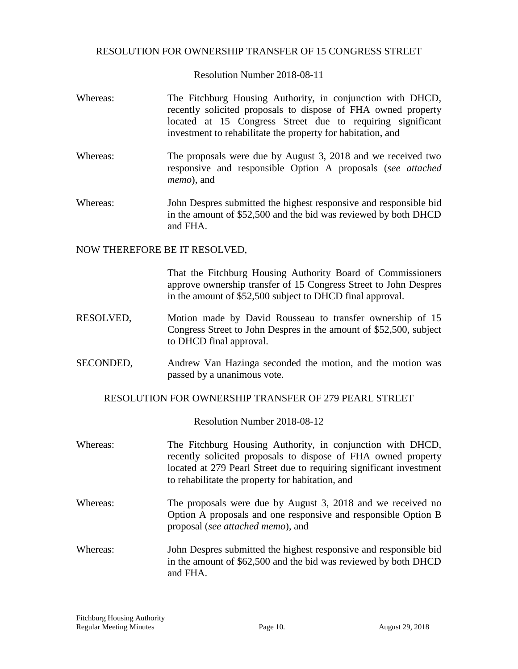### RESOLUTION FOR OWNERSHIP TRANSFER OF 15 CONGRESS STREET

Resolution Number 2018-08-11

- Whereas: The Fitchburg Housing Authority, in conjunction with DHCD, recently solicited proposals to dispose of FHA owned property located at 15 Congress Street due to requiring significant investment to rehabilitate the property for habitation, and
- Whereas: The proposals were due by August 3, 2018 and we received two responsive and responsible Option A proposals (*see attached memo*), and
- Whereas: John Despres submitted the highest responsive and responsible bid in the amount of \$52,500 and the bid was reviewed by both DHCD and FHA.

### NOW THEREFORE BE IT RESOLVED,

That the Fitchburg Housing Authority Board of Commissioners approve ownership transfer of 15 Congress Street to John Despres in the amount of \$52,500 subject to DHCD final approval.

- RESOLVED, Motion made by David Rousseau to transfer ownership of 15 Congress Street to John Despres in the amount of \$52,500, subject to DHCD final approval.
- SECONDED, Andrew Van Hazinga seconded the motion, and the motion was passed by a unanimous vote.

### RESOLUTION FOR OWNERSHIP TRANSFER OF 279 PEARL STREET

Resolution Number 2018-08-12

| Whereas: | The Fitchburg Housing Authority, in conjunction with DHCD,<br>recently solicited proposals to dispose of FHA owned property<br>located at 279 Pearl Street due to requiring significant investment<br>to rehabilitate the property for habitation, and |
|----------|--------------------------------------------------------------------------------------------------------------------------------------------------------------------------------------------------------------------------------------------------------|
| Whereas: | The proposals were due by August 3, 2018 and we received no<br>Option A proposals and one responsive and responsible Option B<br>proposal (see attached memo), and                                                                                     |
| Whereas: | John Despres submitted the highest responsive and responsible bid                                                                                                                                                                                      |

in the amount of \$62,500 and the bid was reviewed by both DHCD and FHA.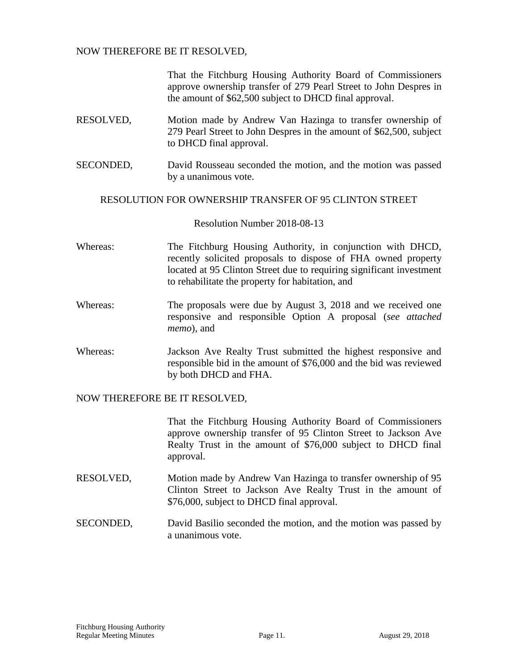That the Fitchburg Housing Authority Board of Commissioners approve ownership transfer of 279 Pearl Street to John Despres in the amount of \$62,500 subject to DHCD final approval.

- RESOLVED, Motion made by Andrew Van Hazinga to transfer ownership of 279 Pearl Street to John Despres in the amount of \$62,500, subject to DHCD final approval.
- SECONDED, David Rousseau seconded the motion, and the motion was passed by a unanimous vote.

### RESOLUTION FOR OWNERSHIP TRANSFER OF 95 CLINTON STREET

Resolution Number 2018-08-13

- Whereas: The Fitchburg Housing Authority, in conjunction with DHCD, recently solicited proposals to dispose of FHA owned property located at 95 Clinton Street due to requiring significant investment to rehabilitate the property for habitation, and
- Whereas: The proposals were due by August 3, 2018 and we received one responsive and responsible Option A proposal (*see attached memo*), and
- Whereas: Jackson Ave Realty Trust submitted the highest responsive and responsible bid in the amount of \$76,000 and the bid was reviewed by both DHCD and FHA.

### NOW THEREFORE BE IT RESOLVED,

That the Fitchburg Housing Authority Board of Commissioners approve ownership transfer of 95 Clinton Street to Jackson Ave Realty Trust in the amount of \$76,000 subject to DHCD final approval.

- RESOLVED, Motion made by Andrew Van Hazinga to transfer ownership of 95 Clinton Street to Jackson Ave Realty Trust in the amount of \$76,000, subject to DHCD final approval.
- SECONDED, David Basilio seconded the motion, and the motion was passed by a unanimous vote.